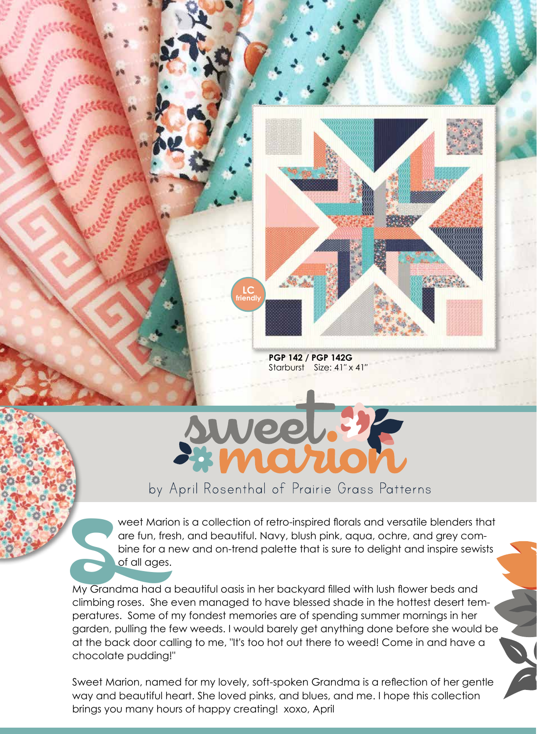

**PGP 142 / PGP 142G**  Starburst Size: 41" x 41"



## by April Rosenthal of Prairie Grass Patterns

weet Marion is a collection of retro-inspired florals and versatile blenders that<br>are fun, fresh, and beautiful. Navy, blush pink, aqua, ochre, and grey com-<br>bine for a new and on-trend palette that is sure to delight and are fun, fresh, and beautiful. Navy, blush pink, aqua, ochre, and grey combine for a new and on-trend palette that is sure to delight and inspire sewists of all ages.

My Grandma had a beautiful oasis in her backyard filled with lush flower beds and climbing roses. She even managed to have blessed shade in the hottest desert temperatures. Some of my fondest memories are of spending summer mornings in her garden, pulling the few weeds. I would barely get anything done before she would be at the back door calling to me, "It's too hot out there to weed! Come in and have a chocolate pudding!"

Sweet Marion, named for my lovely, soft-spoken Grandma is a reflection of her gentle way and beautiful heart. She loved pinks, and blues, and me. I hope this collection brings you many hours of happy creating! xoxo, April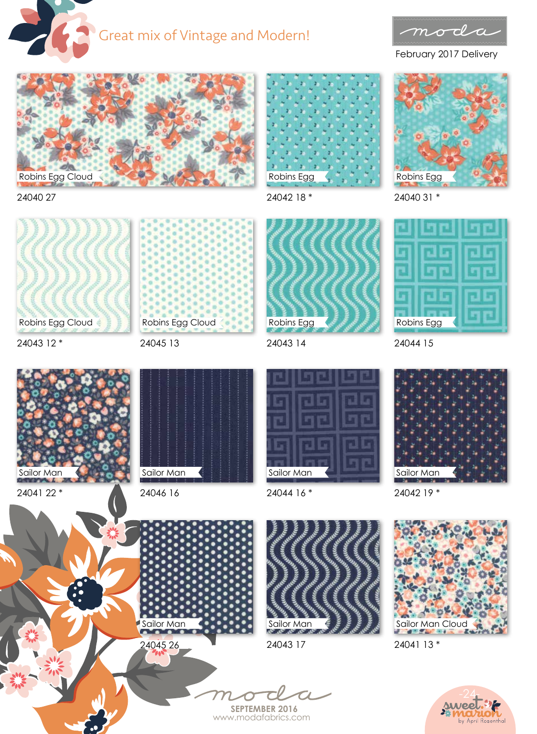



February 2017 Delivery



24040 27





24040 31 \*



24043 12 \*

24041 22 \*

Sailor Man

Robins Egg Cloud

Robins Egg Cloud

24045 13

24043 14

Robins Egg



24044 16 \*



24042 19 \*



24041 13 \*







24045 26

24043 17

**SEPTEMBER 2016** www.modafabrics.com





24044 15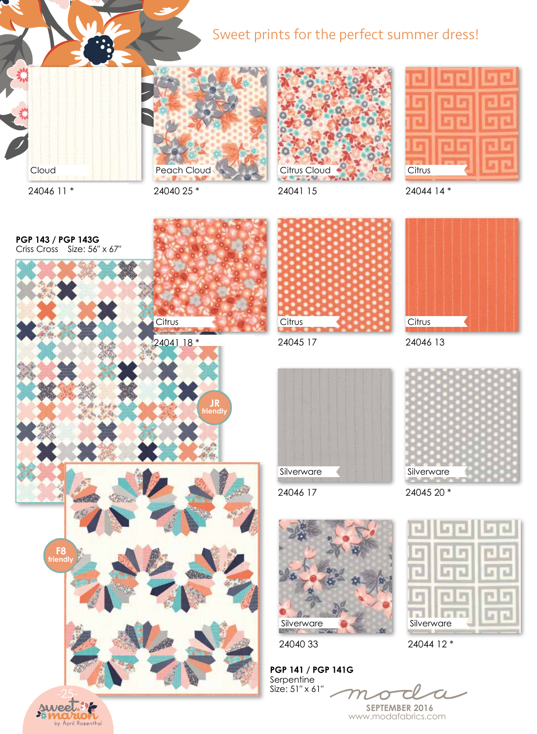## Sweet prints for the perfect summer dress!







24046 11 \*

Cloud

24040 25 \*

24041 15

24044 14 \*





by April Rosenthal



24045 17





24046 13



24046 17

24045 20 \*



24044 12 \*

**PGP 141 / PGP 141G**  Serpentine Size: 51″ x 61″

24040 33

Silverware

**SEPTEMBER 2016** www.modafabrics.com